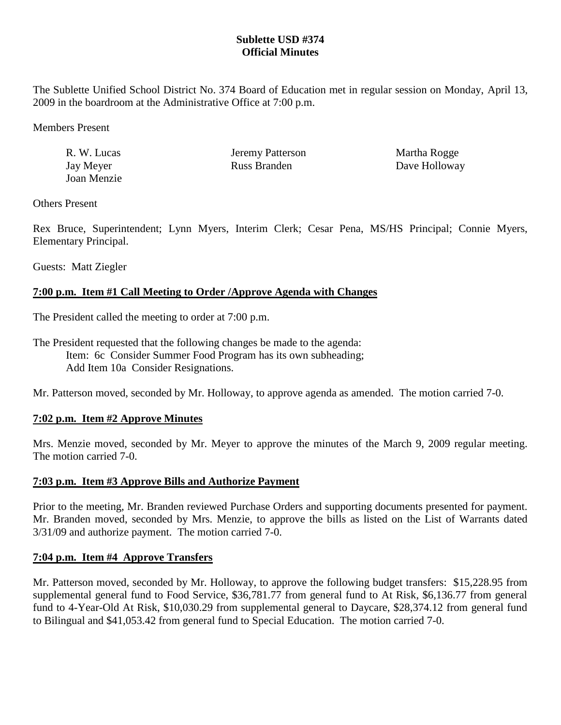## **Sublette USD #374 Official Minutes**

The Sublette Unified School District No. 374 Board of Education met in regular session on Monday, April 13, 2009 in the boardroom at the Administrative Office at 7:00 p.m.

Members Present

| R. W. Lucas | Jeremy Patterson | Martha Rogge  |
|-------------|------------------|---------------|
| Jay Meyer   | Russ Branden     | Dave Holloway |
| Joan Menzie |                  |               |

Others Present

Rex Bruce, Superintendent; Lynn Myers, Interim Clerk; Cesar Pena, MS/HS Principal; Connie Myers, Elementary Principal.

Guests: Matt Ziegler

### **7:00 p.m. Item #1 Call Meeting to Order /Approve Agenda with Changes**

The President called the meeting to order at 7:00 p.m.

The President requested that the following changes be made to the agenda: Item: 6c Consider Summer Food Program has its own subheading; Add Item 10a Consider Resignations.

Mr. Patterson moved, seconded by Mr. Holloway, to approve agenda as amended. The motion carried 7-0.

### **7:02 p.m. Item #2 Approve Minutes**

Mrs. Menzie moved, seconded by Mr. Meyer to approve the minutes of the March 9, 2009 regular meeting. The motion carried 7-0.

#### **7:03 p.m. Item #3 Approve Bills and Authorize Payment**

Prior to the meeting, Mr. Branden reviewed Purchase Orders and supporting documents presented for payment. Mr. Branden moved, seconded by Mrs. Menzie, to approve the bills as listed on the List of Warrants dated 3/31/09 and authorize payment. The motion carried 7-0.

### **7:04 p.m. Item #4 Approve Transfers**

Mr. Patterson moved, seconded by Mr. Holloway, to approve the following budget transfers: \$15,228.95 from supplemental general fund to Food Service, \$36,781.77 from general fund to At Risk, \$6,136.77 from general fund to 4-Year-Old At Risk, \$10,030.29 from supplemental general to Daycare, \$28,374.12 from general fund to Bilingual and \$41,053.42 from general fund to Special Education. The motion carried 7-0.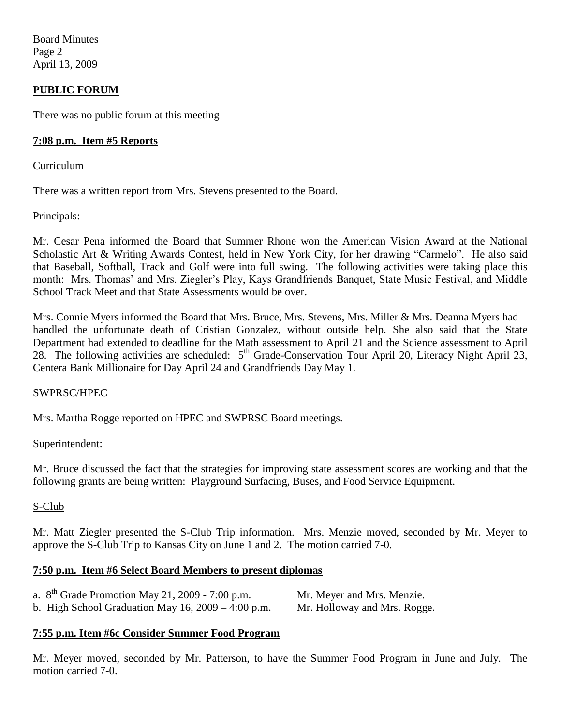Board Minutes Page 2 April 13, 2009

### **PUBLIC FORUM**

There was no public forum at this meeting

#### **7:08 p.m. Item #5 Reports**

#### Curriculum

There was a written report from Mrs. Stevens presented to the Board.

#### Principals:

Mr. Cesar Pena informed the Board that Summer Rhone won the American Vision Award at the National Scholastic Art & Writing Awards Contest, held in New York City, for her drawing "Carmelo". He also said that Baseball, Softball, Track and Golf were into full swing. The following activities were taking place this month: Mrs. Thomas' and Mrs. Ziegler's Play, Kays Grandfriends Banquet, State Music Festival, and Middle School Track Meet and that State Assessments would be over.

Mrs. Connie Myers informed the Board that Mrs. Bruce, Mrs. Stevens, Mrs. Miller & Mrs. Deanna Myers had handled the unfortunate death of Cristian Gonzalez, without outside help. She also said that the State Department had extended to deadline for the Math assessment to April 21 and the Science assessment to April 28. The following activities are scheduled:  $5<sup>th</sup>$  Grade-Conservation Tour April 20, Literacy Night April 23, Centera Bank Millionaire for Day April 24 and Grandfriends Day May 1.

#### SWPRSC/HPEC

Mrs. Martha Rogge reported on HPEC and SWPRSC Board meetings.

#### Superintendent:

Mr. Bruce discussed the fact that the strategies for improving state assessment scores are working and that the following grants are being written: Playground Surfacing, Buses, and Food Service Equipment.

#### S-Club

Mr. Matt Ziegler presented the S-Club Trip information. Mrs. Menzie moved, seconded by Mr. Meyer to approve the S-Club Trip to Kansas City on June 1 and 2. The motion carried 7-0.

#### **7:50 p.m. Item #6 Select Board Members to present diplomas**

| a. $8^{th}$ Grade Promotion May 21, 2009 - 7:00 p.m.    | Mr. Meyer and Mrs. Menzie.   |
|---------------------------------------------------------|------------------------------|
| b. High School Graduation May $16$ , $2009 - 4:00$ p.m. | Mr. Holloway and Mrs. Rogge. |

#### **7:55 p.m. Item #6c Consider Summer Food Program**

Mr. Meyer moved, seconded by Mr. Patterson, to have the Summer Food Program in June and July. The motion carried 7-0.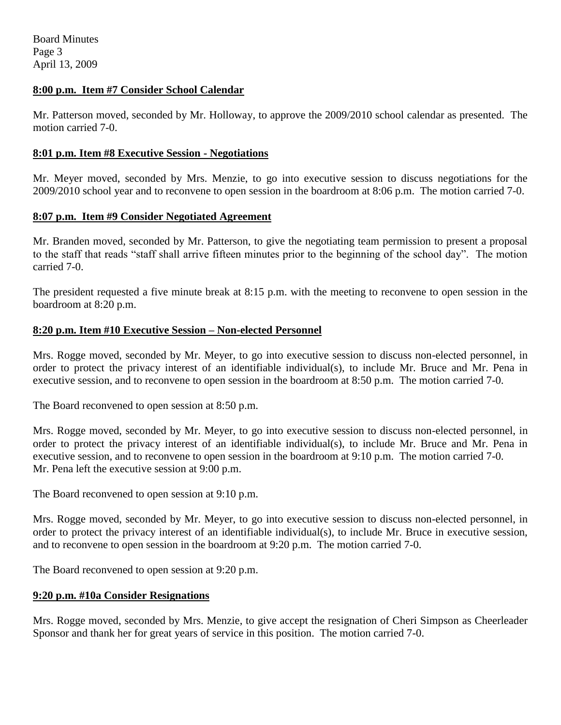#### **8:00 p.m. Item #7 Consider School Calendar**

Mr. Patterson moved, seconded by Mr. Holloway, to approve the 2009/2010 school calendar as presented. The motion carried 7-0.

#### **8:01 p.m. Item #8 Executive Session - Negotiations**

Mr. Meyer moved, seconded by Mrs. Menzie, to go into executive session to discuss negotiations for the 2009/2010 school year and to reconvene to open session in the boardroom at 8:06 p.m. The motion carried 7-0.

### **8:07 p.m. Item #9 Consider Negotiated Agreement**

Mr. Branden moved, seconded by Mr. Patterson, to give the negotiating team permission to present a proposal to the staff that reads "staff shall arrive fifteen minutes prior to the beginning of the school day". The motion carried 7-0.

The president requested a five minute break at 8:15 p.m. with the meeting to reconvene to open session in the boardroom at 8:20 p.m.

### **8:20 p.m. Item #10 Executive Session – Non-elected Personnel**

Mrs. Rogge moved, seconded by Mr. Meyer, to go into executive session to discuss non-elected personnel, in order to protect the privacy interest of an identifiable individual(s), to include Mr. Bruce and Mr. Pena in executive session, and to reconvene to open session in the boardroom at 8:50 p.m. The motion carried 7-0.

The Board reconvened to open session at 8:50 p.m.

Mrs. Rogge moved, seconded by Mr. Meyer, to go into executive session to discuss non-elected personnel, in order to protect the privacy interest of an identifiable individual(s), to include Mr. Bruce and Mr. Pena in executive session, and to reconvene to open session in the boardroom at 9:10 p.m. The motion carried 7-0. Mr. Pena left the executive session at 9:00 p.m.

The Board reconvened to open session at 9:10 p.m.

Mrs. Rogge moved, seconded by Mr. Meyer, to go into executive session to discuss non-elected personnel, in order to protect the privacy interest of an identifiable individual(s), to include Mr. Bruce in executive session, and to reconvene to open session in the boardroom at 9:20 p.m. The motion carried 7-0.

The Board reconvened to open session at 9:20 p.m.

### **9:20 p.m. #10a Consider Resignations**

Mrs. Rogge moved, seconded by Mrs. Menzie, to give accept the resignation of Cheri Simpson as Cheerleader Sponsor and thank her for great years of service in this position. The motion carried 7-0.